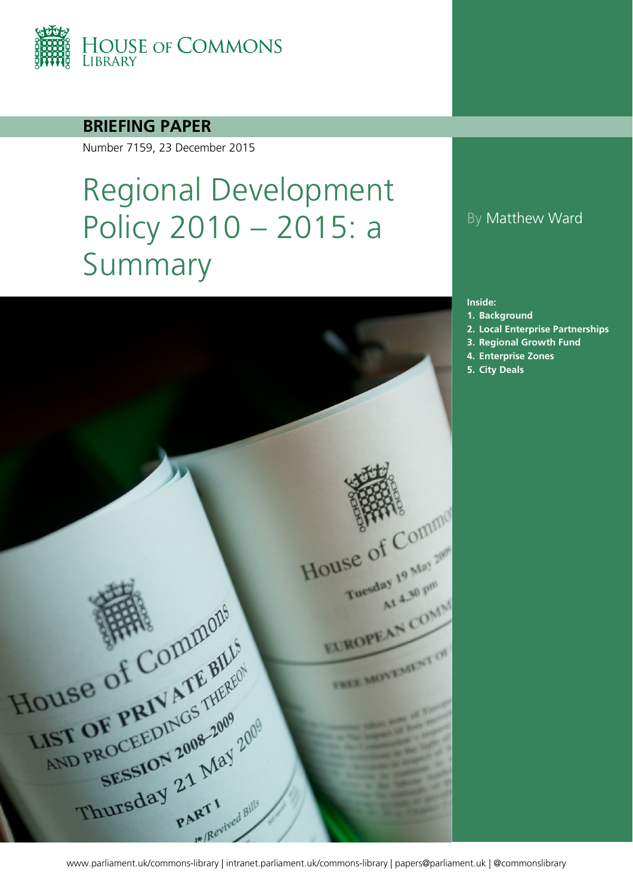

#### **BRIEFING PAPER**

Number 7159, 23 December 2015

# Regional Development Policy 2010 – 2015: a Summary



#### By Matthew Ward

#### **Inside:**

- **1. [Background](#page-2-0)**
- **2. [Local](#page-2-0) Enterprise Partnerships**
- **3. [Regional Growth Fund](#page-2-0)**
- **4. [Enterprise Zones](#page-2-0)**
- **5. [City](#page-2-0) Deals**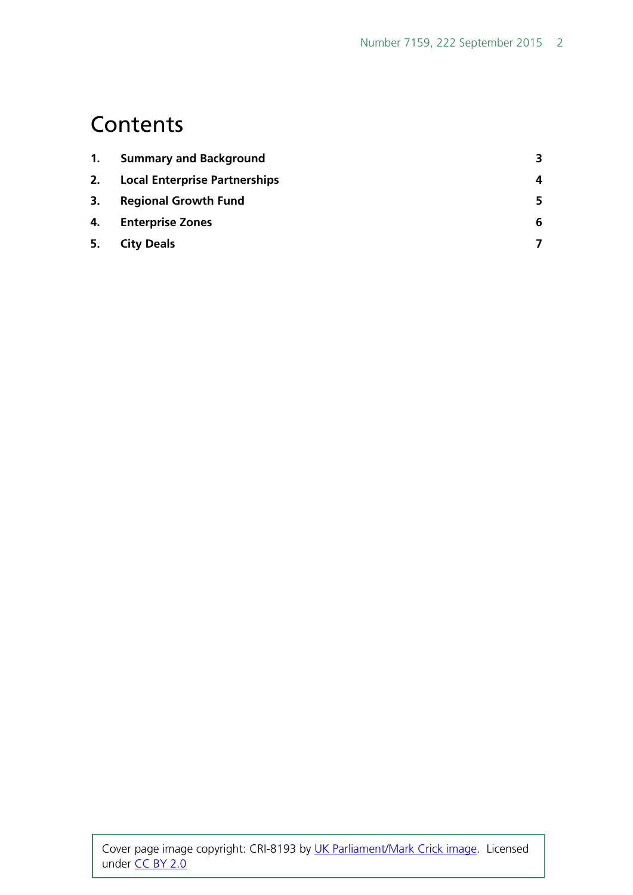### **Contents**

| <b>Summary and Background</b>        | 3 |
|--------------------------------------|---|
| <b>Local Enterprise Partnerships</b> | 4 |
| <b>Regional Growth Fund</b>          | 5 |
| <b>Enterprise Zones</b>              | 6 |
| <b>City Deals</b>                    |   |
|                                      |   |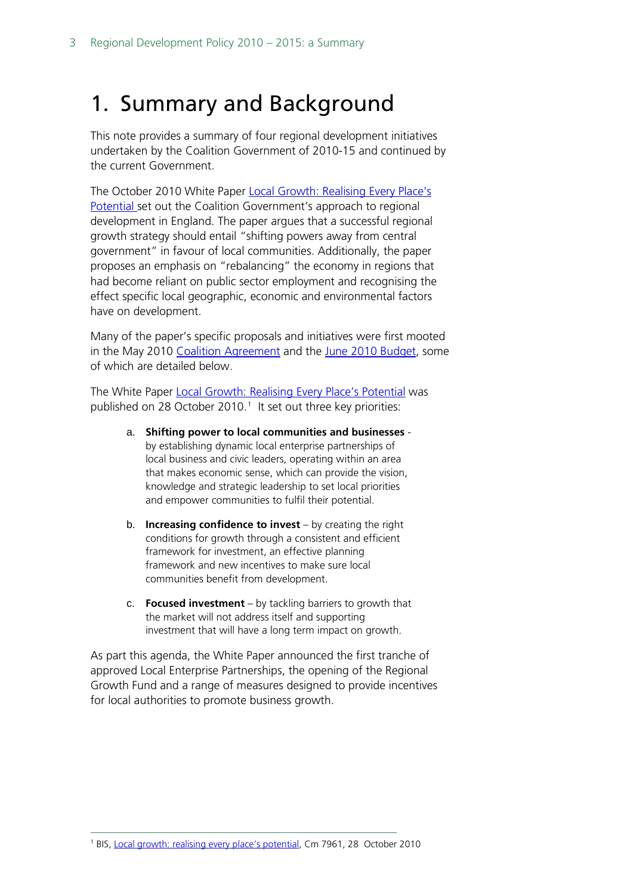### <span id="page-2-0"></span>1. Summary and Background

This note provides a summary of four regional development initiatives undertaken by the Coalition Government of 2010-15 and continued by the current Government.

The October 2010 White Paper Local Growth: Realising Every Place's [Potential s](https://www.gov.uk/government/uploads/system/uploads/attachment_data/file/32076/cm7961-local-growth-white-paper.pdf)et out the Coalition Government's approach to regional development in England. The paper argues that a successful regional growth strategy should entail "shifting powers away from central government" in favour of local communities. Additionally, the paper proposes an emphasis on "rebalancing" the economy in regions that had become reliant on public sector employment and recognising the effect specific local geographic, economic and environmental factors have on development.

Many of the paper's specific proposals and initiatives were first mooted in the May 2010 [Coalition Agreement](https://www.gov.uk/government/uploads/system/uploads/attachment_data/file/78977/coalition_programme_for_government.pdf) and the [June 2010 Budget,](http://www.direct.gov.uk/prod_consum_dg/groups/dg_digitalassets/@dg/@en/documents/digitalasset/dg_188581.pdf) some of which are detailed below.

The White Paper [Local Growth: Realising Every Place's Potential](https://www.gov.uk/government/uploads/system/uploads/attachment_data/file/32076/cm7961-local-growth-white-paper.pdf) was published on 28 October 20[1](#page-2-1)0.<sup>1</sup> It set out three key priorities:

- a. **Shifting power to local communities and businesses** by establishing dynamic local enterprise partnerships of local business and civic leaders, operating within an area that makes economic sense, which can provide the vision, knowledge and strategic leadership to set local priorities and empower communities to fulfil their potential.
- b. **Increasing confidence to invest** by creating the right conditions for growth through a consistent and efficient framework for investment, an effective planning framework and new incentives to make sure local communities benefit from development.
- c. **Focused investment** by tackling barriers to growth that the market will not address itself and supporting investment that will have a long term impact on growth.

As part this agenda, the White Paper announced the first tranche of approved Local Enterprise Partnerships, the opening of the Regional Growth Fund and a range of measures designed to provide incentives for local authorities to promote business growth.

<span id="page-2-1"></span>1 BIS, [Local growth: realising every place's potential,](http://www.bis.gov.uk/assets/biscore/regional/docs/l/cm7961-local-growth-white-paper.pdf) Cm 7961, 28 October 2010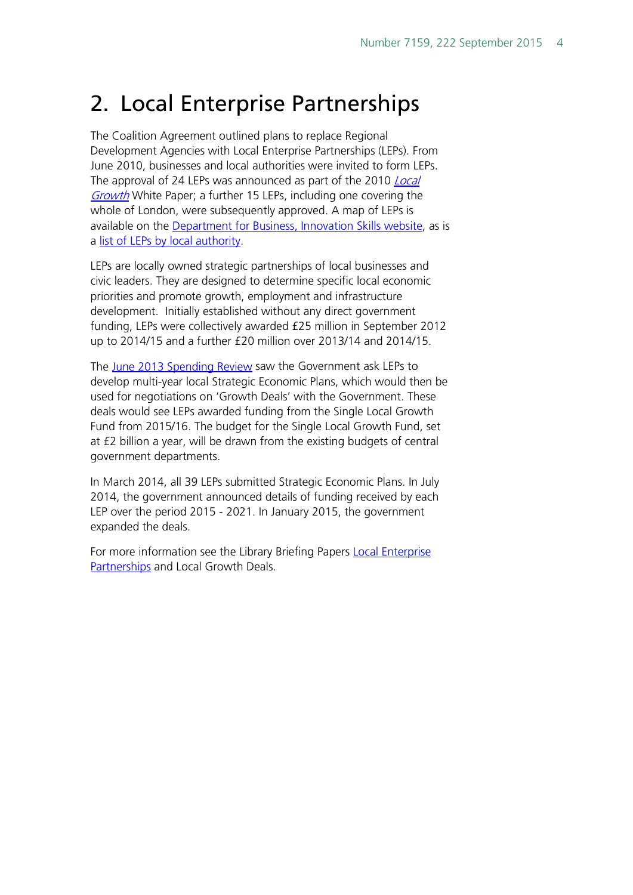### 2. Local Enterprise Partnerships

The Coalition Agreement outlined plans to replace Regional Development Agencies with Local Enterprise Partnerships (LEPs). From June 2010, businesses and local authorities were invited to form LEPs. The approval of 24 LEPs was announced as part of the 2010 Local [Growth](https://www.gov.uk/government/uploads/system/uploads/attachment_data/file/32076/cm7961-local-growth-white-paper.pdf) White Paper; a further 15 LEPs, including one covering the whole of London, were subsequently approved. A map of LEPs is available on the [Department for Business, Innovation Skills website,](https://www.gov.uk/government/uploads/system/uploads/attachment_data/file/252793/bis-11-768-local-enterprise-partnerships-boundary-map-august-2013.pdf) as is a [list of LEPs by local authority.](https://www.gov.uk/government/publications/local-enterprise-partnerships-local-authority-mapping)

LEPs are locally owned strategic partnerships of local businesses and civic leaders. They are designed to determine specific local economic priorities and promote growth, employment and infrastructure development. Initially established without any direct government funding, LEPs were collectively awarded £25 million in September 2012 up to 2014/15 and a further £20 million over 2013/14 and 2014/15.

The [June 2013 Spending Review](https://www.gov.uk/government/uploads/system/uploads/attachment_data/file/209036/spending-round-2013-complete.pdf) saw the Government ask LEPs to develop multi-year local Strategic Economic Plans, which would then be used for negotiations on 'Growth Deals' with the Government. These deals would see LEPs awarded funding from the Single Local Growth Fund from 2015/16. The budget for the Single Local Growth Fund, set at £2 billion a year, will be drawn from the existing budgets of central government departments.

In March 2014, all 39 LEPs submitted Strategic Economic Plans. In July 2014, the government announced details of funding received by each LEP over the period 2015 - 2021. In January 2015, the government expanded the deals.

For more information see the Library Briefing Papers Local Enterprise [Partnerships](http://www.parliament.uk/business/publications/research/briefing-papers/SN05651/local-enterprise-partnerships) and Local Growth Deals.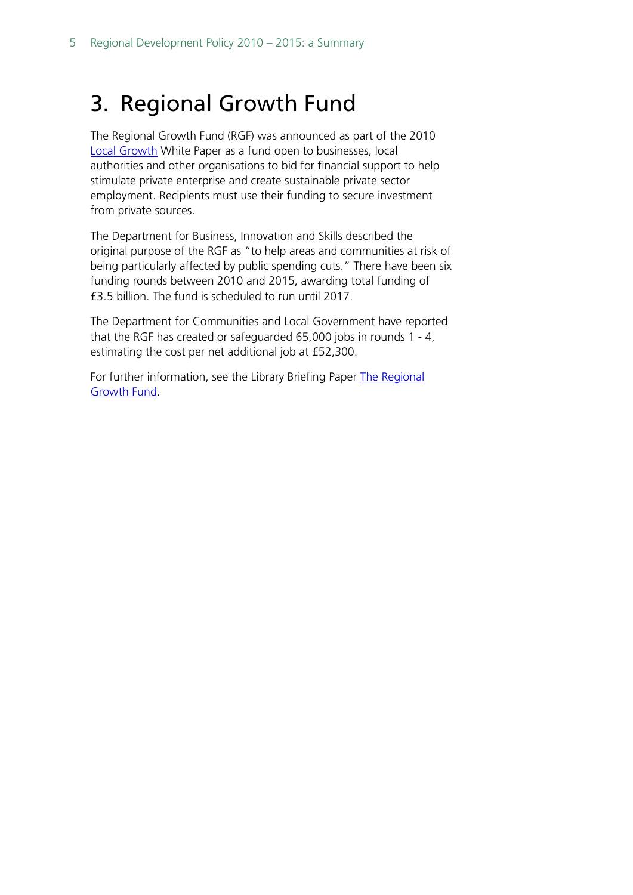### 3. Regional Growth Fund

The Regional Growth Fund (RGF) was announced as part of the 2010 [Local Growth](https://www.gov.uk/government/uploads/system/uploads/attachment_data/file/32076/cm7961-local-growth-white-paper.pdf) White Paper as a fund open to businesses, local authorities and other organisations to bid for financial support to help stimulate private enterprise and create sustainable private sector employment. Recipients must use their funding to secure investment from private sources.

The Department for Business, Innovation and Skills described the original purpose of the RGF as "to help areas and communities at risk of being particularly affected by public spending cuts." There have been six funding rounds between 2010 and 2015, awarding total funding of £3.5 billion. The fund is scheduled to run until 2017.

The Department for Communities and Local Government have reported that the RGF has created or safeguarded 65,000 jobs in rounds 1 - 4, estimating the cost per net additional job at £52,300.

For further information, see the Library Briefing Paper The Regional [Growth Fund.](http://www.parliament.uk/business/publications/research/briefing-papers/SN05874/regional-growth-fund)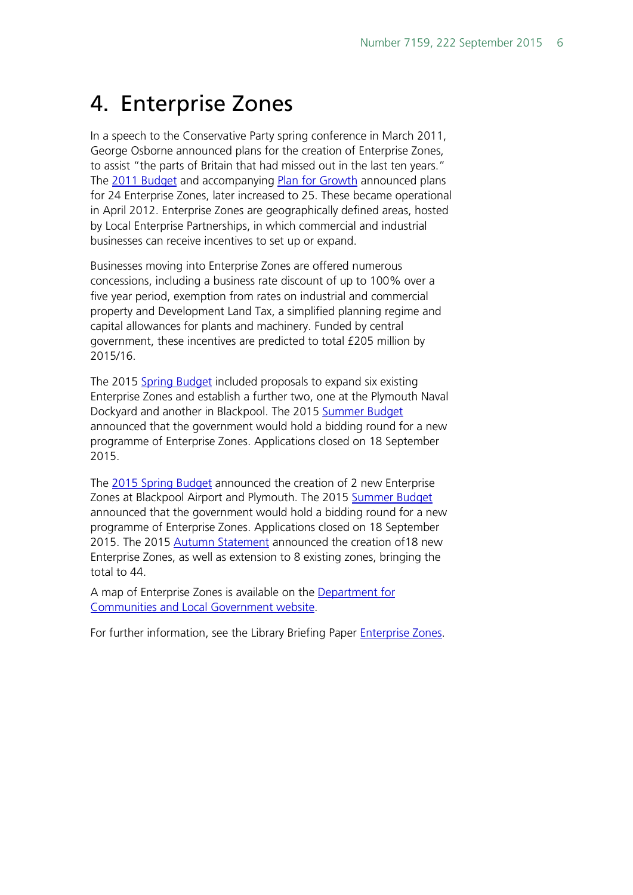### 4. Enterprise Zones

In a speech to the Conservative Party spring conference in March 2011, George Osborne announced plans for the creation of Enterprise Zones, to assist "the parts of Britain that had missed out in the last ten years." The [2011 Budget](http://cdn.hm-treasury.gov.uk/2011budget_complete.pdf) and accompanying [Plan for Growth](http://cdn.hm-treasury.gov.uk/2011budget_growth.pdf) announced plans for 24 Enterprise Zones, later increased to 25. These became operational in April 2012. Enterprise Zones are geographically defined areas, hosted by Local Enterprise Partnerships, in which commercial and industrial businesses can receive incentives to set up or expand.

Businesses moving into Enterprise Zones are offered numerous concessions, including a business rate discount of up to 100% over a five year period, exemption from rates on industrial and commercial property and Development Land Tax, a simplified planning regime and capital allowances for plants and machinery. Funded by central government, these incentives are predicted to total £205 million by 2015/16.

The 2015 [Spring Budget](https://www.gov.uk/government/uploads/system/uploads/attachment_data/file/416330/47881_Budget_2015_Web_Accessible.pdf) included proposals to expand six existing Enterprise Zones and establish a further two, one at the Plymouth Naval Dockyard and another in Blackpool. The 2015 [Summer Budget](https://www.gov.uk/government/uploads/system/uploads/attachment_data/file/443232/50325_Summer_Budget_15_Web_Accessible.pdf) announced that the government would hold a bidding round for a new programme of Enterprise Zones. Applications closed on 18 September 2015.

The [2015 Spring Budget](https://www.gov.uk/government/uploads/system/uploads/attachment_data/file/416330/47881_Budget_2015_Web_Accessible.pdf) announced the creation of 2 new Enterprise Zones at Blackpool Airport and Plymouth. The 2015 [Summer Budget](https://www.gov.uk/government/uploads/system/uploads/attachment_data/file/443232/50325_Summer_Budget_15_Web_Accessible.pdf) announced that the government would hold a bidding round for a new programme of Enterprise Zones. Applications closed on 18 September 2015. The 2015 [Autumn Statement](https://www.gov.uk/government/uploads/system/uploads/attachment_data/file/479749/52229_Blue_Book_PU1865_Web_Accessible.pdf) announced the creation of 18 new Enterprise Zones, as well as extension to 8 existing zones, bringing the total to 44.

A map of Enterprise Zones is available on the [Department for](http://enterprisezones.communities.gov.uk/enterprise-zone-map/)  [Communities and Local Government website.](http://enterprisezones.communities.gov.uk/enterprise-zone-map/)

For further information, see the Library Briefing Paper [Enterprise Zones.](http://www.parliament.uk/business/publications/research/briefing-papers/SN05942/enterprise-zones)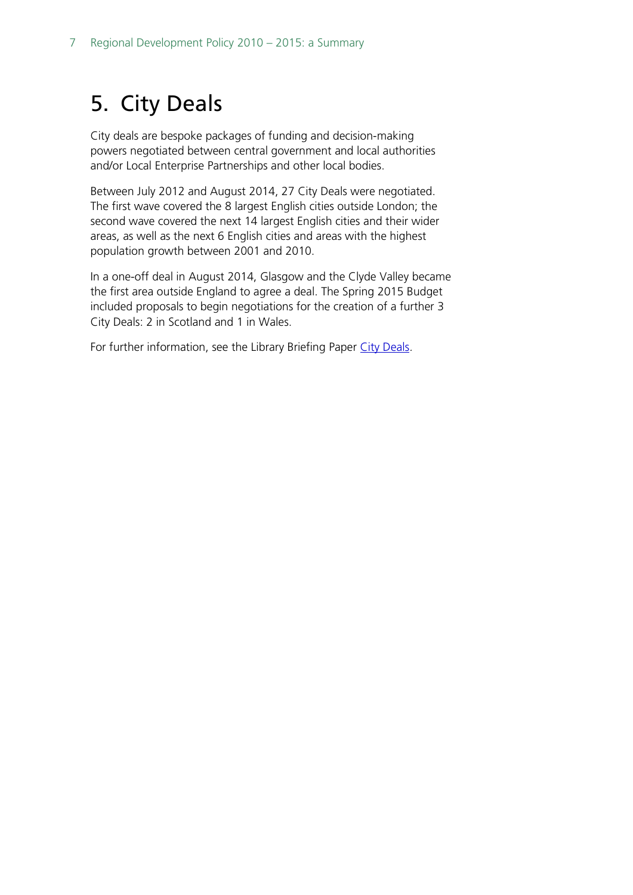## 5. City Deals

City deals are bespoke packages of funding and decision-making powers negotiated between central government and local authorities and/or Local Enterprise Partnerships and other local bodies.

Between July 2012 and August 2014, 27 City Deals were negotiated. The first wave covered the 8 largest English cities outside London; the second wave covered the next 14 largest English cities and their wider areas, as well as the next 6 English cities and areas with the highest population growth between 2001 and 2010.

In a one-off deal in August 2014, Glasgow and the Clyde Valley became the first area outside England to agree a deal. The Spring 2015 Budget included proposals to begin negotiations for the creation of a further 3 City Deals: 2 in Scotland and 1 in Wales.

For further information, see the Library Briefing Paper [City Deals](http://www.parliament.uk/business/publications/research/briefing-papers/SN07158/city-deals).